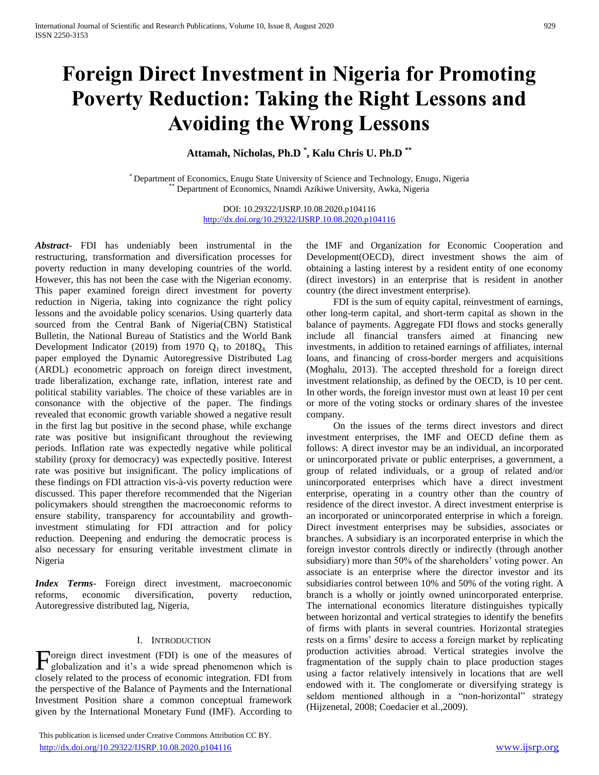# **Foreign Direct Investment in Nigeria for Promoting Poverty Reduction: Taking the Right Lessons and Avoiding the Wrong Lessons**

**Attamah, Nicholas, Ph.D \* , Kalu Chris U. Ph.D \*\***

\* Department of Economics, Enugu State University of Science and Technology, Enugu, Nigeria Department of Economics, Nnamdi Azikiwe University, Awka, Nigeria

> DOI: 10.29322/IJSRP.10.08.2020.p104116 <http://dx.doi.org/10.29322/IJSRP.10.08.2020.p104116>

*Abstract***-** FDI has undeniably been instrumental in the restructuring, transformation and diversification processes for poverty reduction in many developing countries of the world. However, this has not been the case with the Nigerian economy. This paper examined foreign direct investment for poverty reduction in Nigeria, taking into cognizance the right policy lessons and the avoidable policy scenarios. Using quarterly data sourced from the Central Bank of Nigeria(CBN) Statistical Bulletin, the National Bureau of Statistics and the World Bank Development Indicator (2019) from 1970  $Q_1$  to 2018 $Q_4$ . This paper employed the Dynamic Autoregressive Distributed Lag (ARDL) econometric approach on foreign direct investment, trade liberalization, exchange rate, inflation, interest rate and political stability variables. The choice of these variables are in consonance with the objective of the paper. The findings revealed that economic growth variable showed a negative result in the first lag but positive in the second phase, while exchange rate was positive but insignificant throughout the reviewing periods. Inflation rate was expectedly negative while political stability (proxy for democracy) was expectedly positive. Interest rate was positive but insignificant. The policy implications of these findings on FDI attraction vis-à-vis poverty reduction were discussed. This paper therefore recommended that the Nigerian policymakers should strengthen the macroeconomic reforms to ensure stability, transparency for accountability and growthinvestment stimulating for FDI attraction and for policy reduction. Deepening and enduring the democratic process is also necessary for ensuring veritable investment climate in Nigeria

*Index Terms*- Foreign direct investment, macroeconomic reforms, economic diversification, poverty reduction, Autoregressive distributed lag, Nigeria,

### I. INTRODUCTION

oreign direct investment (FDI) is one of the measures of Foreign direct investment (FDI) is one of the measures of globalization and it's a wide spread phenomenon which is closely related to the process of economic integration. FDI from the perspective of the Balance of Payments and the International Investment Position share a common conceptual framework given by the International Monetary Fund (IMF). According to

 This publication is licensed under Creative Commons Attribution CC BY. <http://dx.doi.org/10.29322/IJSRP.10.08.2020.p104116> [www.ijsrp.org](http://ijsrp.org/)

the IMF and Organization for Economic Cooperation and Development(OECD), direct investment shows the aim of obtaining a lasting interest by a resident entity of one economy (direct investors) in an enterprise that is resident in another country (the direct investment enterprise).

 FDI is the sum of equity capital, reinvestment of earnings, other long-term capital, and short-term capital as shown in the balance of payments. Aggregate FDI flows and stocks generally include all financial transfers aimed at financing new investments, in addition to retained earnings of affiliates, internal loans, and financing of cross-border mergers and acquisitions (Moghalu, 2013). The accepted threshold for a foreign direct investment relationship, as defined by the OECD, is 10 per cent. In other words, the foreign investor must own at least 10 per cent or more of the voting stocks or ordinary shares of the investee company.

 On the issues of the terms direct investors and direct investment enterprises, the IMF and OECD define them as follows: A direct investor may be an individual, an incorporated or unincorporated private or public enterprises, a government, a group of related individuals, or a group of related and/or unincorporated enterprises which have a direct investment enterprise, operating in a country other than the country of residence of the direct investor. A direct investment enterprise is an incorporated or unincorporated enterprise in which a foreign. Direct investment enterprises may be subsidies, associates or branches. A subsidiary is an incorporated enterprise in which the foreign investor controls directly or indirectly (through another subsidiary) more than 50% of the shareholders' voting power. An associate is an enterprise where the director investor and its subsidiaries control between 10% and 50% of the voting right. A branch is a wholly or jointly owned unincorporated enterprise. The international economics literature distinguishes typically between horizontal and vertical strategies to identify the benefits of firms with plants in several countries. Horizontal strategies rests on a firms' desire to access a foreign market by replicating production activities abroad. Vertical strategies involve the fragmentation of the supply chain to place production stages using a factor relatively intensively in locations that are well endowed with it. The conglomerate or diversifying strategy is seldom mentioned although in a "non-horizontal" strategy (Hijzenetal, 2008; Coedacier et al.,2009).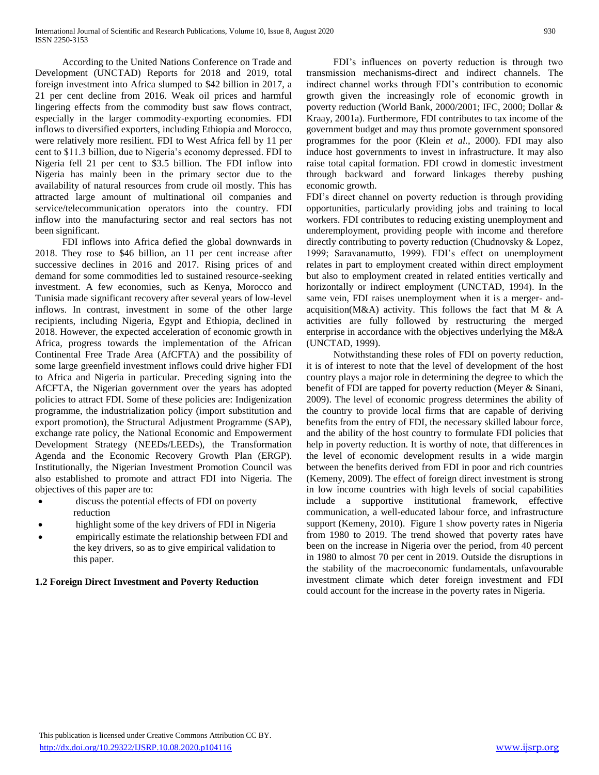According to the United Nations Conference on Trade and Development (UNCTAD) Reports for 2018 and 2019, total foreign investment into Africa slumped to \$42 billion in 2017, a 21 per cent decline from 2016. Weak oil prices and harmful lingering effects from the commodity bust saw flows contract, especially in the larger commodity-exporting economies. FDI inflows to diversified exporters, including Ethiopia and Morocco, were relatively more resilient. FDI to West Africa fell by 11 per cent to \$11.3 billion, due to Nigeria's economy depressed. FDI to Nigeria fell 21 per cent to \$3.5 billion. The FDI inflow into Nigeria has mainly been in the primary sector due to the availability of natural resources from crude oil mostly. This has attracted large amount of multinational oil companies and service/telecommunication operators into the country. FDI inflow into the manufacturing sector and real sectors has not been significant.

 FDI inflows into Africa defied the global downwards in 2018. They rose to \$46 billion, an 11 per cent increase after successive declines in 2016 and 2017. Rising prices of and demand for some commodities led to sustained resource-seeking investment. A few economies, such as Kenya, Morocco and Tunisia made significant recovery after several years of low-level inflows. In contrast, investment in some of the other large recipients, including Nigeria, Egypt and Ethiopia, declined in 2018. However, the expected acceleration of economic growth in Africa, progress towards the implementation of the African Continental Free Trade Area (AfCFTA) and the possibility of some large greenfield investment inflows could drive higher FDI to Africa and Nigeria in particular. Preceding signing into the AfCFTA, the Nigerian government over the years has adopted policies to attract FDI. Some of these policies are: Indigenization programme, the industrialization policy (import substitution and export promotion), the Structural Adjustment Programme (SAP), exchange rate policy, the National Economic and Empowerment Development Strategy (NEEDs/LEEDs), the Transformation Agenda and the Economic Recovery Growth Plan (ERGP). Institutionally, the Nigerian Investment Promotion Council was also established to promote and attract FDI into Nigeria. The objectives of this paper are to:

- discuss the potential effects of FDI on poverty reduction
- highlight some of the key drivers of FDI in Nigeria
- empirically estimate the relationship between FDI and the key drivers, so as to give empirical validation to this paper.

# **1.2 Foreign Direct Investment and Poverty Reduction**

 FDI's influences on poverty reduction is through two transmission mechanisms-direct and indirect channels. The indirect channel works through FDI's contribution to economic growth given the increasingly role of economic growth in poverty reduction (World Bank, 2000/2001; IFC, 2000; Dollar & Kraay, 2001a). Furthermore, FDI contributes to tax income of the government budget and may thus promote government sponsored programmes for the poor (Klein *et al.,* 2000). FDI may also induce host governments to invest in infrastructure. It may also raise total capital formation. FDI crowd in domestic investment through backward and forward linkages thereby pushing economic growth.

FDI's direct channel on poverty reduction is through providing opportunities, particularly providing jobs and training to local workers. FDI contributes to reducing existing unemployment and underemployment, providing people with income and therefore directly contributing to poverty reduction (Chudnovsky & Lopez, 1999; Saravanamutto, 1999). FDI's effect on unemployment relates in part to employment created within direct employment but also to employment created in related entities vertically and horizontally or indirect employment (UNCTAD, 1994). In the same vein, FDI raises unemployment when it is a merger- andacquisition(M&A) activity. This follows the fact that M & A activities are fully followed by restructuring the merged enterprise in accordance with the objectives underlying the M&A (UNCTAD, 1999).

 Notwithstanding these roles of FDI on poverty reduction, it is of interest to note that the level of development of the host country plays a major role in determining the degree to which the benefit of FDI are tapped for poverty reduction (Meyer & Sinani, 2009). The level of economic progress determines the ability of the country to provide local firms that are capable of deriving benefits from the entry of FDI, the necessary skilled labour force, and the ability of the host country to formulate FDI policies that help in poverty reduction. It is worthy of note, that differences in the level of economic development results in a wide margin between the benefits derived from FDI in poor and rich countries (Kemeny, 2009). The effect of foreign direct investment is strong in low income countries with high levels of social capabilities include a supportive institutional framework, effective communication, a well-educated labour force, and infrastructure support (Kemeny, 2010). Figure 1 show poverty rates in Nigeria from 1980 to 2019. The trend showed that poverty rates have been on the increase in Nigeria over the period, from 40 percent in 1980 to almost 70 per cent in 2019. Outside the disruptions in the stability of the macroeconomic fundamentals, unfavourable investment climate which deter foreign investment and FDI could account for the increase in the poverty rates in Nigeria.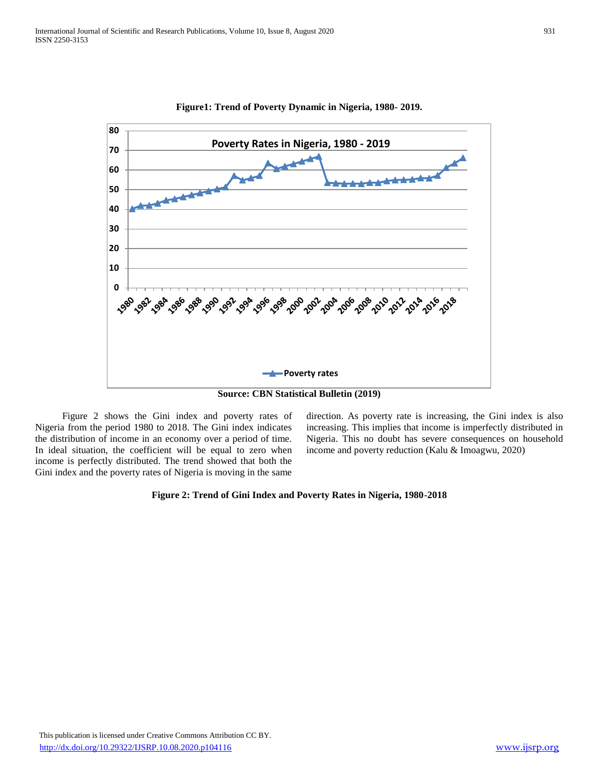

**Figure1: Trend of Poverty Dynamic in Nigeria, 1980- 2019.**

**Source: CBN Statistical Bulletin (2019)**

 Figure 2 shows the Gini index and poverty rates of Nigeria from the period 1980 to 2018. The Gini index indicates the distribution of income in an economy over a period of time. In ideal situation, the coefficient will be equal to zero when income is perfectly distributed. The trend showed that both the Gini index and the poverty rates of Nigeria is moving in the same

direction. As poverty rate is increasing, the Gini index is also increasing. This implies that income is imperfectly distributed in Nigeria. This no doubt has severe consequences on household income and poverty reduction (Kalu & Imoagwu, 2020)

### **Figure 2: Trend of Gini Index and Poverty Rates in Nigeria, 1980-2018**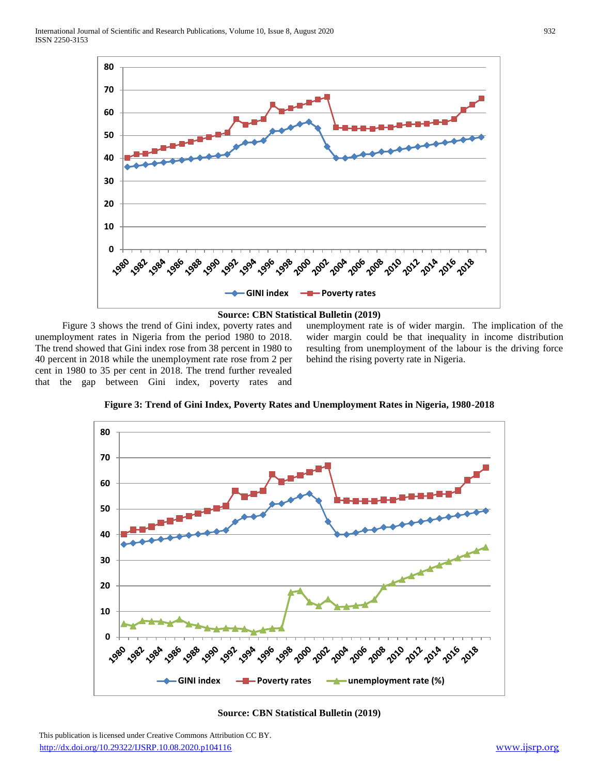



 Figure 3 shows the trend of Gini index, poverty rates and unemployment rates in Nigeria from the period 1980 to 2018. The trend showed that Gini index rose from 38 percent in 1980 to 40 percent in 2018 while the unemployment rate rose from 2 per cent in 1980 to 35 per cent in 2018. The trend further revealed that the gap between Gini index, poverty rates and

unemployment rate is of wider margin. The implication of the wider margin could be that inequality in income distribution resulting from unemployment of the labour is the driving force behind the rising poverty rate in Nigeria.

**Figure 3: Trend of Gini Index, Poverty Rates and Unemployment Rates in Nigeria, 1980-2018**



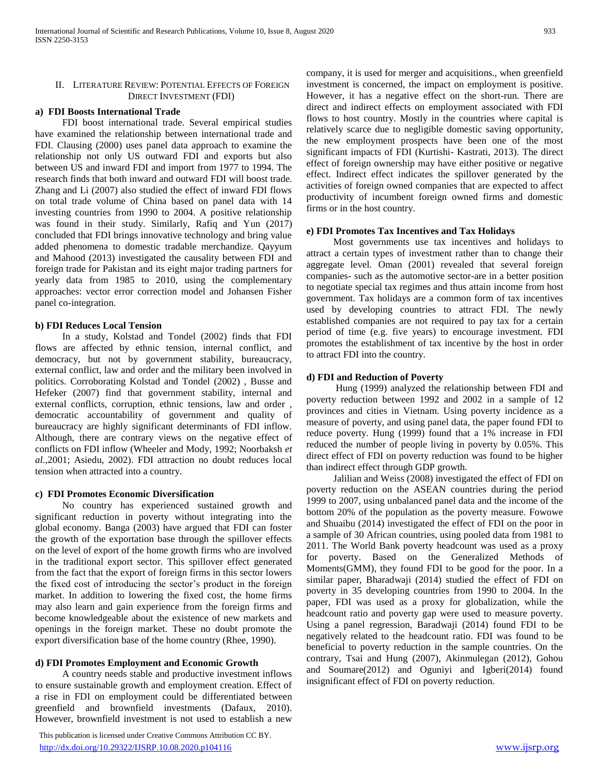### II. LITERATURE REVIEW: POTENTIAL EFFECTS OF FOREIGN DIRECT INVESTMENT (FDI)

### **a) FDI Boosts International Trade**

 FDI boost international trade. Several empirical studies have examined the relationship between international trade and FDI. Clausing (2000) uses panel data approach to examine the relationship not only US outward FDI and exports but also between US and inward FDI and import from 1977 to 1994. The research finds that both inward and outward FDI will boost trade. Zhang and Li (2007) also studied the effect of inward FDI flows on total trade volume of China based on panel data with 14 investing countries from 1990 to 2004. A positive relationship was found in their study. Similarly, Rafiq and Yun (2017) concluded that FDI brings innovative technology and bring value added phenomena to domestic tradable merchandize. Qayyum and Mahood (2013) investigated the causality between FDI and foreign trade for Pakistan and its eight major trading partners for yearly data from 1985 to 2010, using the complementary approaches: vector error correction model and Johansen Fisher panel co-integration.

### **b) FDI Reduces Local Tension**

 In a study, Kolstad and Tondel (2002) finds that FDI flows are affected by ethnic tension, internal conflict, and democracy, but not by government stability, bureaucracy, external conflict, law and order and the military been involved in politics. Corroborating Kolstad and Tondel (2002) , Busse and Hefeker (2007) find that government stability, internal and external conflicts, corruption, ethnic tensions, law and order , democratic accountability of government and quality of bureaucracy are highly significant determinants of FDI inflow. Although, there are contrary views on the negative effect of conflicts on FDI inflow (Wheeler and Mody, 1992; Noorbaksh *et al*.,2001; Asiedu, 2002). FDI attraction no doubt reduces local tension when attracted into a country.

### **c) FDI Promotes Economic Diversification**

 No country has experienced sustained growth and significant reduction in poverty without integrating into the global economy. Banga (2003) have argued that FDI can foster the growth of the exportation base through the spillover effects on the level of export of the home growth firms who are involved in the traditional export sector. This spillover effect generated from the fact that the export of foreign firms in this sector lowers the fixed cost of introducing the sector's product in the foreign market. In addition to lowering the fixed cost, the home firms may also learn and gain experience from the foreign firms and become knowledgeable about the existence of new markets and openings in the foreign market. These no doubt promote the export diversification base of the home country (Rhee, 1990).

### **d) FDI Promotes Employment and Economic Growth**

 A country needs stable and productive investment inflows to ensure sustainable growth and employment creation. Effect of a rise in FDI on employment could be differentiated between greenfield and brownfield investments (Dafaux, 2010). However, brownfield investment is not used to establish a new

 This publication is licensed under Creative Commons Attribution CC BY. <http://dx.doi.org/10.29322/IJSRP.10.08.2020.p104116> [www.ijsrp.org](http://ijsrp.org/)

company, it is used for merger and acquisitions., when greenfield investment is concerned, the impact on employment is positive. However, it has a negative effect on the short-run. There are direct and indirect effects on employment associated with FDI flows to host country. Mostly in the countries where capital is relatively scarce due to negligible domestic saving opportunity, the new employment prospects have been one of the most significant impacts of FDI (Kurtishi- Kastrati, 2013). The direct effect of foreign ownership may have either positive or negative effect. Indirect effect indicates the spillover generated by the activities of foreign owned companies that are expected to affect productivity of incumbent foreign owned firms and domestic firms or in the host country.

### **e) FDI Promotes Tax Incentives and Tax Holidays**

 Most governments use tax incentives and holidays to attract a certain types of investment rather than to change their aggregate level. Oman (2001) revealed that several foreign companies- such as the automotive sector-are in a better position to negotiate special tax regimes and thus attain income from host government. Tax holidays are a common form of tax incentives used by developing countries to attract FDI. The newly established companies are not required to pay tax for a certain period of time (e.g. five years) to encourage investment. FDI promotes the establishment of tax incentive by the host in order to attract FDI into the country.

### **d) FDI and Reduction of Poverty**

 Hung (1999) analyzed the relationship between FDI and poverty reduction between 1992 and 2002 in a sample of 12 provinces and cities in Vietnam. Using poverty incidence as a measure of poverty, and using panel data, the paper found FDI to reduce poverty. Hung (1999) found that a 1% increase in FDI reduced the number of people living in poverty by 0.05%. This direct effect of FDI on poverty reduction was found to be higher than indirect effect through GDP growth.

 Jalilian and Weiss (2008) investigated the effect of FDI on poverty reduction on the ASEAN countries during the period 1999 to 2007, using unbalanced panel data and the income of the bottom 20% of the population as the poverty measure. Fowowe and Shuaibu (2014) investigated the effect of FDI on the poor in a sample of 30 African countries, using pooled data from 1981 to 2011. The World Bank poverty headcount was used as a proxy for poverty. Based on the Generalized Methods of Moments(GMM), they found FDI to be good for the poor. In a similar paper, Bharadwaji (2014) studied the effect of FDI on poverty in 35 developing countries from 1990 to 2004. In the paper, FDI was used as a proxy for globalization, while the headcount ratio and poverty gap were used to measure poverty. Using a panel regression, Baradwaji (2014) found FDI to be negatively related to the headcount ratio. FDI was found to be beneficial to poverty reduction in the sample countries. On the contrary, Tsai and Hung (2007), Akinmulegan (2012), Gohou and Soumare(2012) and Oguniyi and Igberi(2014) found insignificant effect of FDI on poverty reduction.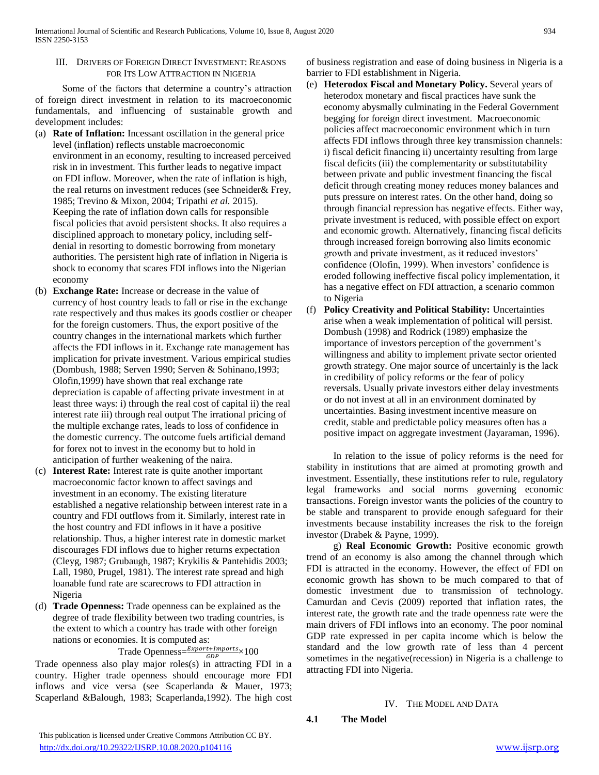### III. DRIVERS OF FOREIGN DIRECT INVESTMENT: REASONS FOR ITS LOW ATTRACTION IN NIGERIA

 Some of the factors that determine a country's attraction of foreign direct investment in relation to its macroeconomic fundamentals, and influencing of sustainable growth and development includes:

- (a) **Rate of Inflation:** Incessant oscillation in the general price level (inflation) reflects unstable macroeconomic environment in an economy, resulting to increased perceived risk in in investment. This further leads to negative impact on FDI inflow. Moreover, when the rate of inflation is high, the real returns on investment reduces (see Schneider& Frey, 1985; Trevino & Mixon, 2004; Tripathi *et al.* 2015). Keeping the rate of inflation down calls for responsible fiscal policies that avoid persistent shocks. It also requires a disciplined approach to monetary policy, including selfdenial in resorting to domestic borrowing from monetary authorities. The persistent high rate of inflation in Nigeria is shock to economy that scares FDI inflows into the Nigerian economy
- (b) **Exchange Rate:** Increase or decrease in the value of currency of host country leads to fall or rise in the exchange rate respectively and thus makes its goods costlier or cheaper for the foreign customers. Thus, the export positive of the country changes in the international markets which further affects the FDI inflows in it. Exchange rate management has implication for private investment. Various empirical studies (Dombush, 1988; Serven 1990; Serven & Sohinano,1993; Olofin,1999) have shown that real exchange rate depreciation is capable of affecting private investment in at least three ways: i) through the real cost of capital ii) the real interest rate iii) through real output The irrational pricing of the multiple exchange rates, leads to loss of confidence in the domestic currency. The outcome fuels artificial demand for forex not to invest in the economy but to hold in anticipation of further weakening of the naira.
- (c) **Interest Rate:** Interest rate is quite another important macroeconomic factor known to affect savings and investment in an economy. The existing literature established a negative relationship between interest rate in a country and FDI outflows from it. Similarly, interest rate in the host country and FDI inflows in it have a positive relationship. Thus, a higher interest rate in domestic market discourages FDI inflows due to higher returns expectation (Cleyg, 1987; Grubaugh, 1987; Krykilis & Pantehidis 2003; Lall, 1980, Prugel, 1981). The interest rate spread and high loanable fund rate are scarecrows to FDI attraction in Nigeria
- (d) **Trade Openness:** Trade openness can be explained as the degree of trade flexibility between two trading countries, is the extent to which a country has trade with other foreign nations or economies. It is computed as:

# Trade Openness= $\frac{Export+Imports}{GDP} \times 100$

Trade openness also play major roles(s) in attracting FDI in a country. Higher trade openness should encourage more FDI inflows and vice versa (see Scaperlanda & Mauer, 1973; Scaperland &Balough, 1983; Scaperlanda,1992). The high cost

of business registration and ease of doing business in Nigeria is a barrier to FDI establishment in Nigeria.

- (e) **Heterodox Fiscal and Monetary Policy.** Several years of heterodox monetary and fiscal practices have sunk the economy abysmally culminating in the Federal Government begging for foreign direct investment. Macroeconomic policies affect macroeconomic environment which in turn affects FDI inflows through three key transmission channels: i) fiscal deficit financing ii) uncertainty resulting from large fiscal deficits (iii) the complementarity or substitutability between private and public investment financing the fiscal deficit through creating money reduces money balances and puts pressure on interest rates. On the other hand, doing so through financial repression has negative effects. Either way, private investment is reduced, with possible effect on export and economic growth. Alternatively, financing fiscal deficits through increased foreign borrowing also limits economic growth and private investment, as it reduced investors' confidence (Olofin, 1999). When investors' confidence is eroded following ineffective fiscal policy implementation, it has a negative effect on FDI attraction, a scenario common to Nigeria
- (f) **Policy Creativity and Political Stability:** Uncertainties arise when a weak implementation of political will persist. Dombush (1998) and Rodrick (1989) emphasize the importance of investors perception of the government's willingness and ability to implement private sector oriented growth strategy. One major source of uncertainly is the lack in credibility of policy reforms or the fear of policy reversals. Usually private investors either delay investments or do not invest at all in an environment dominated by uncertainties. Basing investment incentive measure on credit, stable and predictable policy measures often has a positive impact on aggregate investment (Jayaraman, 1996).

 In relation to the issue of policy reforms is the need for stability in institutions that are aimed at promoting growth and investment. Essentially, these institutions refer to rule, regulatory legal frameworks and social norms governing economic transactions. Foreign investor wants the policies of the country to be stable and transparent to provide enough safeguard for their investments because instability increases the risk to the foreign investor (Drabek & Payne, 1999).

 g) **Real Economic Growth:** Positive economic growth trend of an economy is also among the channel through which FDI is attracted in the economy. However, the effect of FDI on economic growth has shown to be much compared to that of domestic investment due to transmission of technology. Camurdan and Cevis (2009) reported that inflation rates, the interest rate, the growth rate and the trade openness rate were the main drivers of FDI inflows into an economy. The poor nominal GDP rate expressed in per capita income which is below the standard and the low growth rate of less than 4 percent sometimes in the negative(recession) in Nigeria is a challenge to attracting FDI into Nigeria.

### IV. THE MODEL AND DATA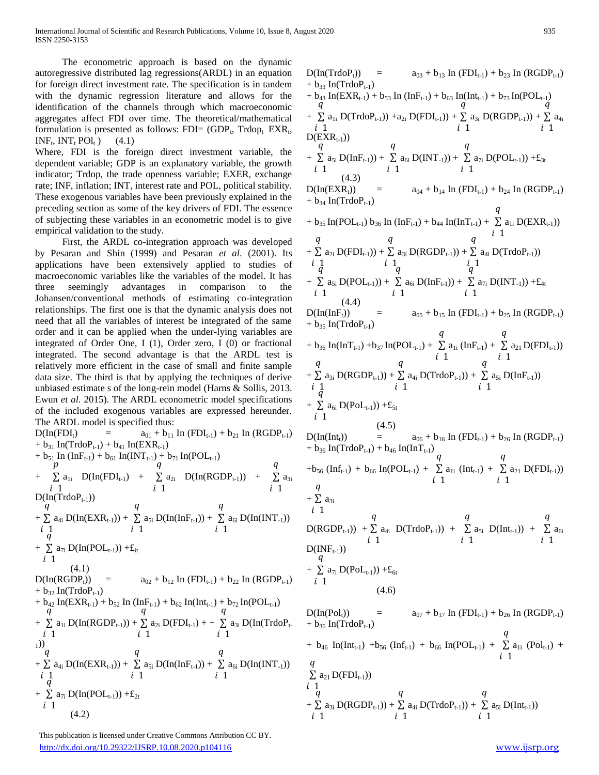International Journal of Scientific and Research Publications, Volume 10, Issue 8, August 2020 935 ISSN 2250-3153

 The econometric approach is based on the dynamic autoregressive distributed lag regressions(ARDL) in an equation for foreign direct investment rate. The specification is in tandem with the dynamic regression literature and allows for the identification of the channels through which macroeconomic aggregates affect FDI over time. The theoretical/mathematical formulation is presented as follows: FDI=  $(GDP_t, Trdop_t EXR_t,$  $INF_t$ ,  $INT_t$   $POl_t$  ) (4.1)

Where, FDI is the foreign direct investment variable, the dependent variable; GDP is an explanatory variable, the growth indicator; Trdop, the trade openness variable; EXER, exchange rate; INF, inflation; INT, interest rate and POL, political stability. These exogenous variables have been previously explained in the preceding section as some of the key drivers of FDI. The essence of subjecting these variables in an econometric model is to give empirical validation to the study.

 First, the ARDL co-integration approach was developed by Pesaran and Shin (1999) and Pesaran *et al*. (2001). Its applications have been extensively applied to studies of macroeconomic variables like the variables of the model. It has three seemingly advantages in comparison to the Johansen/conventional methods of estimating co-integration relationships. The first one is that the dynamic analysis does not need that all the variables of interest be integrated of the same order and it can be applied when the under-lying variables are integrated of Order One, I (1), Order zero, I (0) or fractional integrated. The second advantage is that the ARDL test is relatively more efficient in the case of small and finite sample data size. The third is that by applying the techniques of derive unbiased estimate s of the long-rein model (Harns & Sollis, 2013. Ewun *et al.* 2015). The ARDL econometric model specifications of the included exogenous variables are expressed hereunder. The ARDL model is specified thus:

 $D(InfFDI_t)$  =  $a_{01} + b_{11} \text{ In (FDI}_{t-1}) + b_{21} \text{ In (RGDP}_{t-1})$  $+ b_{31}$  In(TrdoP<sub>t-1</sub>) +  $b_{41}$  In(EXR<sub>t-1</sub>) +  $b_{51}$  In (InF<sub>t-1</sub>) +  $b_{61}$  In(INT<sub>t-1</sub>) +  $b_{71}$  In(POL<sub>t-1</sub>) +  $\overline{p}$ ∑ i 1  $a_{1i}$  D(In(FDI<sub>t-1</sub>) +  $\overline{q}$ ∑ i 1  $a_{2i}$   $D(In(RGDP_{t-1}))$  +  $\overline{q}$ ∑ i 1  $a_{3i}$  $D($ In(TrdoP<sub>t-1</sub>)) + q ∑ i 1  $a_{4i} D(In(EXR_{t-1})) +$  $\overline{q}$ ∑ i 1  $a_{5i} D(In(InF_{t-1})) +$  $\overline{q}$ ∑ i 1  $a_{6i} D(Im(NT_{-1}))$ +  $\sum a_{7i} D(In(POL_{t-1})) + E_{it}$ ą i 1 (4.1)  $D(In(RGDP<sub>t</sub>))$  =  $a_{02} + b_{12} In (FDI<sub>t-1</sub>) + b_{22} In (RGDP<sub>t-1</sub>)$  $+ b_{32}$  In(TrdoP<sub>t-1</sub>) +  $b_{42}$  In(EXR<sub>t-1</sub>) +  $b_{52}$  In (InF<sub>t-1</sub>) +  $b_{62}$  In(Int<sub>t-1</sub>) +  $b_{72}$  In(POL<sub>t-1</sub>) + q ∑ i 1  $a_{1i} D(Inf(GDP_{t-1})) +$  $\overline{q}$ ∑ i 1  $a_{2i} D(FDI_{t-1}) + +$  $\overline{q}$ ∑ i 1  $a_{3i}$  D(In(TrdoP<sub>t-</sub> <sup>1</sup>)) +  $\overline{q}$ ∑  $i\,1$  $a_{4i} D(In(EXR_{t-1})) +$  $\overline{q}$ ∑ i 1  $a_{5i} D(In(InF_{t-1})) +$  $\overline{q}$ ∑ i 1  $a_{6i} D(Im(NT_{-1}))$ +  $\sum a_{7i} D(In(POL_{t-1})) + \pounds_{2t}$ ą i 1 (4.2)

 $\overline{q}$ ∑  $i<sub>1</sub>$ 

+ ģ ∑ i 1

 $a_{21} D(FDI_{t-1}))$ 

 $a_{3i} D(RGDP_{t-1})) +$ 

 $\overline{q}$ ∑ i 1

 $a_{4i} D(TrdoP_{t-1})) +$ 

 This publication is licensed under Creative Commons Attribution CC BY. <http://dx.doi.org/10.29322/IJSRP.10.08.2020.p104116> [www.ijsrp.org](http://ijsrp.org/)

D(Inf(TrdoP<sub>i</sub>)) = 
$$
a_{03} + b_{13}
$$
 In (FDI<sub>t-1</sub>) +  $b_{23}$  In (RODP<sub>t-1</sub>)  
\n+  $b_{33}$  In(TrdoP<sub>t-1</sub>)  
\n+  $b_{33}$  In(TrdoP<sub>t-1</sub>)  
\n+  $b_{33}$  In(TrdoP<sub>t-1</sub>) +  $b_{53}$  In (Inf<sub>t-1</sub>) +  $b_{63}$  In(Inf<sub>t-1</sub>) +  $b_{73}$  In(POL<sub>t-1</sub>)  
\n+  $\sum a_{11}$  D(TrdoP<sub>t-1</sub>) +  $a_{21}$  D(FDI<sub>t-1</sub>) +  $\sum a_{31}$  D(RGDP<sub>t-1</sub>)) +  $\sum a_{41}$   
\n+  $\sum a_{51}$  D(Inf<sub>t-1</sub>) +  $\sum a_{51}$  D(1NT<sub>-1</sub>) +  $\sum a_{51}$  D(POL<sub>t-1</sub>) +  $\pm a_{51}$   
\n+  $\sum a_{52}$  D(Inf<sub>t-1</sub>) +  $\sum a_{54}$  D(INT<sub>t-1</sub>) +  $b_{24}$  In (RGDP<sub>t-1</sub>)  
\n+  $b_{35}$  In(POL<sub>t-1</sub>)  $b_{36}$  In (Inf<sub>t-1</sub>) +  $b_{44}$  In(Inf<sub>t-1</sub>) +  $\sum a_{51}$  D(EXR<sub>t-1</sub>))  
\n+  $b_{53}$  In(POL<sub>t-1</sub>) +  $\sum a_{51}$  D(RGDP<sub>t-1</sub>) +  $\sum a_{51}$  D(ITdoP<sub>t-1</sub>)  
\n+  $\sum a_{51}$  D(POL<sub>t-1</sub>) +  $\sum a_{51}$  D(IGDP<sub>t-1</sub>) +  $\sum a_{52}$  In (RGDP<sub>t-1</sub>)  
\n+  $b_{53}$  In(THoP<sub>t-1</sub>)  
\n+  $b_{55}$  In(THoP<sub>t-1</sub>)  
\n+  $b_{55}$  In

i 1

 $a_{5i} D(Int_{t-1}))$ 

 $\overline{q}$ ∑ i 1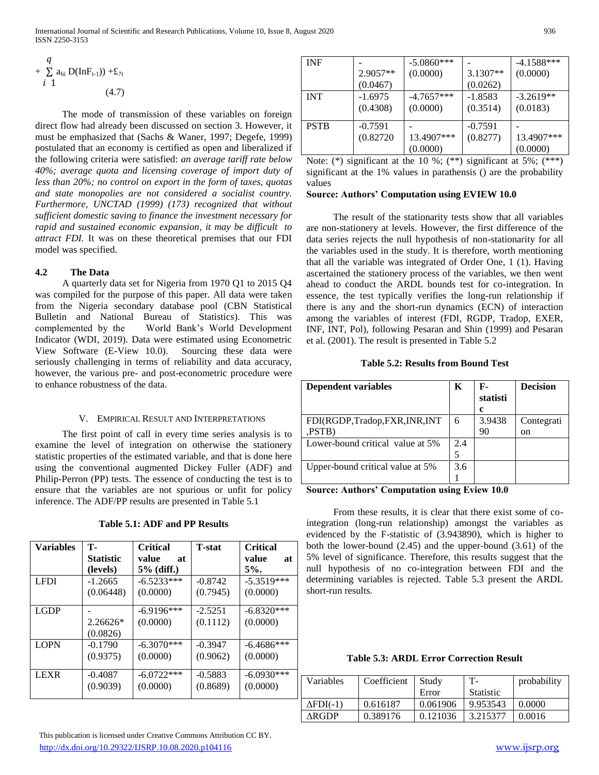$$
+\sum_{i=1}^{q} a_{6i} D(Inf_{t-1})) + E_{7t}
$$
  
 
$$
i \quad 1
$$
 (4.7)

 The mode of transmission of these variables on foreign direct flow had already been discussed on section 3. However, it must be emphasized that (Sachs & Waner, 1997; Degefe, 1999) postulated that an economy is certified as open and liberalized if the following criteria were satisfied: *an average tariff rate below 40%; average quota and licensing coverage of import duty of less than 20%; no control on export in the form of taxes, quotas and state monopolies are not considered a socialist country. Furthermore, UNCTAD (1999) (173) recognized that without sufficient domestic saving to finance the investment necessary for rapid and sustained economic expansion, it may be difficult to attract FDI.* It was on these theoretical premises that our FDI model was specified.

# **4.2 The Data**

 A quarterly data set for Nigeria from 1970 Q1 to 2015 Q4 was compiled for the purpose of this paper. All data were taken from the Nigeria secondary database pool (CBN Statistical Bulletin and National Bureau of Statistics). This was complemented by the World Bank's World Development Indicator (WDI, 2019). Data were estimated using Econometric View Software (E-View 10.0). Sourcing these data were seriously challenging in terms of reliability and data accuracy, however, the various pre- and post-econometric procedure were to enhance robustness of the data.

# V. EMPIRICAL RESULT AND INTERPRETATIONS

 The first point of call in every time series analysis is to examine the level of integration on otherwise the stationery statistic properties of the estimated variable, and that is done here using the conventional augmented Dickey Fuller (ADF) and Philip-Perron (PP) tests. The essence of conducting the test is to ensure that the variables are not spurious or unfit for policy inference. The ADF/PP results are presented in Table 5.1

| Table 5.1: ADF and PP Results |  |  |  |  |
|-------------------------------|--|--|--|--|
|-------------------------------|--|--|--|--|

| <b>Variables</b> | т.               | <b>Critical</b> | <b>T</b> -stat | <b>Critical</b> |
|------------------|------------------|-----------------|----------------|-----------------|
|                  | <b>Statistic</b> | value<br>at     |                | value<br>at     |
|                  | (levels)         | 5% (diff.)      |                | 5%              |
| <b>LFDI</b>      | $-1.2665$        | $-6.5233***$    | $-0.8742$      | $-5.3519***$    |
|                  | (0.06448)        | (0.0000)        | (0.7945)       | (0.0000)        |
|                  |                  |                 |                |                 |
| <b>LGDP</b>      |                  | $-6.9196***$    | $-2.5251$      | $-6.8320***$    |
|                  | 2.26626*         | (0.0000)        | (0.1112)       | (0.0000)        |
|                  | (0.0826)         |                 |                |                 |
| <b>LOPN</b>      | $-0.1790$        | $-6.3070***$    | $-0.3947$      | $-6.4686***$    |
|                  | (0.9375)         | (0.0000)        | (0.9062)       | (0.0000)        |
|                  |                  |                 |                |                 |
| <b>LEXR</b>      | $-0.4087$        | $-6.0722***$    | $-0.5883$      | $-6.0930***$    |
|                  | (0.9039)         | (0.0000)        | (0.8689)       | (0.0000)        |
|                  |                  |                 |                |                 |

|                                                                        | $\Delta \mathbf{N}$ | $0.982110 - 0.121930 - 0.213311 - 0.0010$ |  |               |
|------------------------------------------------------------------------|---------------------|-------------------------------------------|--|---------------|
|                                                                        |                     |                                           |  |               |
| This publication is licensed under Creative Commons Attribution CC BY. |                     |                                           |  |               |
| http://dx.doi.org/10.29322/IJSRP.10.08.2020.p104116                    |                     |                                           |  | www.ijsrp.org |

| <b>INF</b>  |           | $-5.0860***$ |           | $-4.1588***$ |
|-------------|-----------|--------------|-----------|--------------|
|             | 2.9057**  | (0.0000)     | 3.1307**  | (0.0000)     |
|             | (0.0467)  |              | (0.0262)  |              |
| <b>INT</b>  | $-1.6975$ | $-4.7657***$ | $-1.8583$ | $-3.2619**$  |
|             | (0.4308)  | (0.0000)     | (0.3514)  | (0.0183)     |
| <b>PSTB</b> | $-0.7591$ |              | $-0.7591$ |              |
|             |           |              |           |              |
|             | (0.82720) | 13.4907***   | (0.8277)  | 13.4907***   |
|             |           | (0.0000)     |           | (0.0000)     |

Note: (\*) significant at the 10 %; (\*\*) significant at 5%; (\*\*\*) significant at the 1% values in parathensis () are the probability values

### **Source: Authors' Computation using EVIEW 10.0**

 The result of the stationarity tests show that all variables are non-stationery at levels. However, the first difference of the data series rejects the null hypothesis of non-stationarity for all the variables used in the study. It is therefore, worth mentioning that all the variable was integrated of Order One, 1 (1). Having ascertained the stationery process of the variables, we then went ahead to conduct the ARDL bounds test for co-integration. In essence, the test typically verifies the long-run relationship if there is any and the short-run dynamics (ECN) of interaction among the variables of interest (FDI, RGDP, Tradop, EXER, INF, INT, Pol), following Pesaran and Shin (1999) and Pesaran et al. (2001). The result is presented in Table 5.2

# **Table 5.2: Results from Bound Test**

| <b>Dependent variables</b>          | K   | F-<br>statisti<br>c | <b>Decision</b>  |
|-------------------------------------|-----|---------------------|------------------|
| FDI(RGDP,Tradop,FXR,INR,INT<br>PSTB | 6   | 3.9438<br>90        | Contegrati<br>on |
| Lower-bound critical value at 5%    | 2.4 |                     |                  |
| Upper-bound critical value at 5%    | 3.6 |                     |                  |

### **Source: Authors' Computation using Eview 10.0**

 From these results, it is clear that there exist some of cointegration (long-run relationship) amongst the variables as evidenced by the F-statistic of (3.943890), which is higher to both the lower-bound (2.45) and the upper-bound (3.61) of the 5% level of significance. Therefore, this results suggest that the null hypothesis of no co-integration between FDI and the determining variables is rejected. Table 5.3 present the ARDL short-run results.

|  |  |  |  | <b>Table 5.3: ARDL Error Correction Result</b> |  |
|--|--|--|--|------------------------------------------------|--|
|--|--|--|--|------------------------------------------------|--|

| Variables | Coefficient | Study    | <b>T</b> -       | probability |
|-----------|-------------|----------|------------------|-------------|
|           |             | Error    | <b>Statistic</b> |             |
| ΔFDI(-1)  | 0.616187    | 0.061906 | 9.953543         | 0.0000      |
| ARGDP     | 0.389176    | 0.121036 | 3.215377         | 0.0016      |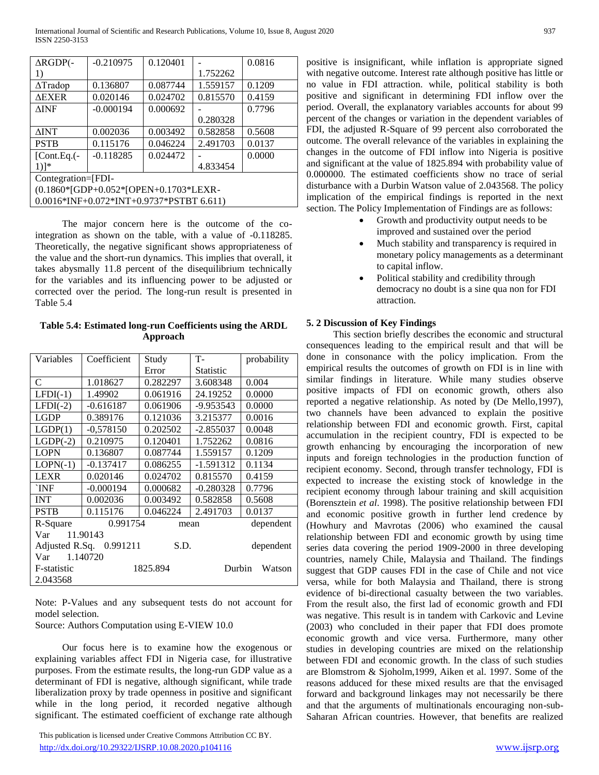| $\triangle$ RGDP $($ -                | $-0.210975$                                | 0.120401 |          | 0.0816 |  |
|---------------------------------------|--------------------------------------------|----------|----------|--------|--|
| 1)                                    |                                            |          | 1.752262 |        |  |
| $\Delta$ Tradop                       | 0.136807                                   | 0.087744 | 1.559157 | 0.1209 |  |
| <b>AEXER</b>                          | 0.020146                                   | 0.024702 | 0.815570 | 0.4159 |  |
| <b>AINF</b>                           | $-0.000194$                                | 0.000692 |          | 0.7796 |  |
|                                       |                                            |          | 0.280328 |        |  |
| <b>AINT</b>                           | 0.002036                                   | 0.003492 | 0.582858 | 0.5608 |  |
| <b>PSTB</b>                           | 0.115176                                   | 0.046224 | 2.491703 | 0.0137 |  |
| $[Cont.Eq.(-$                         | $-0.118285$                                | 0.024472 |          | 0.0000 |  |
| $1)$ <sup>*</sup>                     |                                            |          | 4.833454 |        |  |
| Contegration=[FDI-                    |                                            |          |          |        |  |
| (0.1860*[GDP+0.052*[OPEN+0.1703*LEXR- |                                            |          |          |        |  |
|                                       | $0.0016*INF+0.072*INT+0.9737*PSTBT 6.611)$ |          |          |        |  |

 The major concern here is the outcome of the cointegration as shown on the table, with a value of -0.118285. Theoretically, the negative significant shows appropriateness of the value and the short-run dynamics. This implies that overall, it takes abysmally 11.8 percent of the disequilibrium technically for the variables and its influencing power to be adjusted or corrected over the period. The long-run result is presented in Table 5.4

**Table 5.4: Estimated long-run Coefficients using the ARDL Approach**

| Variables    | Coefficient             | Study    | <b>T-</b>   | probability |  |
|--------------|-------------------------|----------|-------------|-------------|--|
|              |                         | Error    | Statistic   |             |  |
| C            | 1.018627                | 0.282297 | 3.608348    | 0.004       |  |
| $LFDI(-1)$   | 1.49902                 | 0.061916 | 24.19252    | 0.0000      |  |
| $LFDI(-2)$   | $-0.616187$             | 0.061906 | -9.953543   | 0.0000      |  |
| <b>LGDP</b>  | 0.389176                | 0.121036 | 3.215377    | 0.0016      |  |
| LGDP(1)      | $-0,578150$             | 0.202502 | -2.855037   | 0.0048      |  |
| $LGDP(-2)$   | 0.210975                | 0.120401 | 1.752262    | 0.0816      |  |
| <b>LOPN</b>  | 0.136807                | 0.087744 | 1.559157    | 0.1209      |  |
| $LOPN(-1)$   | $-0.137417$             | 0.086255 | $-1.591312$ | 0.1134      |  |
| <b>LEXR</b>  | 0.020146                | 0.024702 | 0.815570    | 0.4159      |  |
| `INF         | $-0.000194$             | 0.000682 | $-0.280328$ | 0.7796      |  |
| <b>INT</b>   | 0.002036                | 0.003492 | 0.582858    | 0.5608      |  |
| <b>PSTB</b>  | 0.115176                | 0.046224 | 2.491703    | 0.0137      |  |
| R-Square     | 0.991754                | mean     |             | dependent   |  |
| Var          | 11.90143                |          |             |             |  |
|              | Adjusted R.Sq. 0.991211 | S.D.     |             | dependent   |  |
| Var 1.140720 |                         |          |             |             |  |
| F-statistic  |                         | 1825.894 | Durbin      | Watson      |  |
| 2.043568     |                         |          |             |             |  |

Note: P-Values and any subsequent tests do not account for model selection.

Source: Authors Computation using E-VIEW 10.0

 Our focus here is to examine how the exogenous or explaining variables affect FDI in Nigeria case, for illustrative purposes. From the estimate results, the long-run GDP value as a determinant of FDI is negative, although significant, while trade liberalization proxy by trade openness in positive and significant while in the long period, it recorded negative although significant. The estimated coefficient of exchange rate although

 This publication is licensed under Creative Commons Attribution CC BY. <http://dx.doi.org/10.29322/IJSRP.10.08.2020.p104116> [www.ijsrp.org](http://ijsrp.org/)

positive is insignificant, while inflation is appropriate signed with negative outcome. Interest rate although positive has little or no value in FDI attraction. while, political stability is both positive and significant in determining FDI inflow over the period. Overall, the explanatory variables accounts for about 99 percent of the changes or variation in the dependent variables of FDI, the adjusted R-Square of 99 percent also corroborated the outcome. The overall relevance of the variables in explaining the changes in the outcome of FDI inflow into Nigeria is positive and significant at the value of 1825.894 with probability value of 0.000000. The estimated coefficients show no trace of serial disturbance with a Durbin Watson value of 2.043568. The policy implication of the empirical findings is reported in the next section. The Policy Implementation of Findings are as follows:

- Growth and productivity output needs to be improved and sustained over the period
- Much stability and transparency is required in monetary policy managements as a determinant to capital inflow.
- Political stability and credibility through democracy no doubt is a sine qua non for FDI attraction.

### **5. 2 Discussion of Key Findings**

 This section briefly describes the economic and structural consequences leading to the empirical result and that will be done in consonance with the policy implication. From the empirical results the outcomes of growth on FDI is in line with similar findings in literature. While many studies observe positive impacts of FDI on economic growth, others also reported a negative relationship. As noted by (De Mello,1997), two channels have been advanced to explain the positive relationship between FDI and economic growth. First, capital accumulation in the recipient country, FDI is expected to be growth enhancing by encouraging the incorporation of new inputs and foreign technologies in the production function of recipient economy. Second, through transfer technology, FDI is expected to increase the existing stock of knowledge in the recipient economy through labour training and skill acquisition (Borensztein *et al*. 1998). The positive relationship between FDI and economic positive growth in further lend credence by (Howhury and Mavrotas (2006) who examined the causal relationship between FDI and economic growth by using time series data covering the period 1909-2000 in three developing countries, namely Chile, Malaysia and Thailand. The findings suggest that GDP causes FDI in the case of Chile and not vice versa, while for both Malaysia and Thailand, there is strong evidence of bi-directional casualty between the two variables. From the result also, the first lad of economic growth and FDI was negative. This result is in tandem with Carkovic and Levine (2003) who concluded in their paper that FDI does promote economic growth and vice versa. Furthermore, many other studies in developing countries are mixed on the relationship between FDI and economic growth. In the class of such studies are Blomstrom & Sjoholm,1999, Aiken et al. 1997. Some of the reasons adduced for these mixed results are that the envisaged forward and background linkages may not necessarily be there and that the arguments of multinationals encouraging non-sub-Saharan African countries. However, that benefits are realized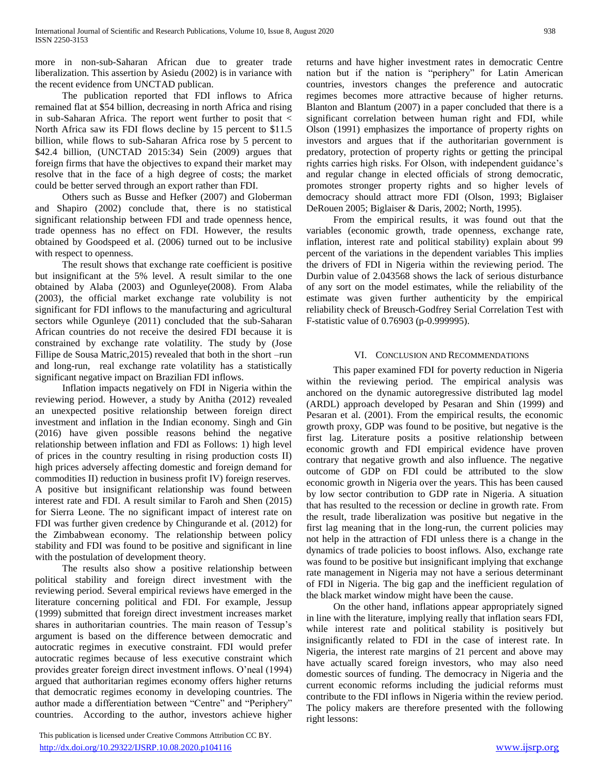more in non-sub-Saharan African due to greater trade liberalization. This assertion by Asiedu (2002) is in variance with the recent evidence from UNCTAD publican.

 The publication reported that FDI inflows to Africa remained flat at \$54 billion, decreasing in north Africa and rising in sub-Saharan Africa. The report went further to posit that < North Africa saw its FDI flows decline by 15 percent to \$11.5 billion, while flows to sub-Saharan Africa rose by 5 percent to \$42.4 billion, (UNCTAD 2015:34) Sein (2009) argues that foreign firms that have the objectives to expand their market may resolve that in the face of a high degree of costs; the market could be better served through an export rather than FDI.

 Others such as Busse and Hefker (2007) and Globerman and Shapiro (2002) conclude that, there is no statistical significant relationship between FDI and trade openness hence, trade openness has no effect on FDI. However, the results obtained by Goodspeed et al. (2006) turned out to be inclusive with respect to openness.

 The result shows that exchange rate coefficient is positive but insignificant at the 5% level. A result similar to the one obtained by Alaba (2003) and Ogunleye(2008). From Alaba (2003), the official market exchange rate volubility is not significant for FDI inflows to the manufacturing and agricultural sectors while Ogunleye (2011) concluded that the sub-Saharan African countries do not receive the desired FDI because it is constrained by exchange rate volatility. The study by (Jose Fillipe de Sousa Matric,2015) revealed that both in the short –run and long-run, real exchange rate volatility has a statistically significant negative impact on Brazilian FDI inflows.

 Inflation impacts negatively on FDI in Nigeria within the reviewing period. However, a study by Anitha (2012) revealed an unexpected positive relationship between foreign direct investment and inflation in the Indian economy. Singh and Gin (2016) have given possible reasons behind the negative relationship between inflation and FDI as Follows: 1) high level of prices in the country resulting in rising production costs II) high prices adversely affecting domestic and foreign demand for commodities II) reduction in business profit IV) foreign reserves. A positive but insignificant relationship was found between interest rate and FDI. A result similar to Faroh and Shen (2015) for Sierra Leone. The no significant impact of interest rate on FDI was further given credence by Chingurande et al. (2012) for the Zimbabwean economy. The relationship between policy stability and FDI was found to be positive and significant in line with the postulation of development theory.

 The results also show a positive relationship between political stability and foreign direct investment with the reviewing period. Several empirical reviews have emerged in the literature concerning political and FDI. For example, Jessup (1999) submitted that foreign direct investment increases market shares in authoritarian countries. The main reason of Tessup's argument is based on the difference between democratic and autocratic regimes in executive constraint. FDI would prefer autocratic regimes because of less executive constraint which provides greater foreign direct investment inflows. O'neal (1994) argued that authoritarian regimes economy offers higher returns that democratic regimes economy in developing countries. The author made a differentiation between "Centre" and "Periphery" countries. According to the author, investors achieve higher

 This publication is licensed under Creative Commons Attribution CC BY. <http://dx.doi.org/10.29322/IJSRP.10.08.2020.p104116> [www.ijsrp.org](http://ijsrp.org/)

returns and have higher investment rates in democratic Centre nation but if the nation is "periphery" for Latin American countries, investors changes the preference and autocratic regimes becomes more attractive because of higher returns. Blanton and Blantum (2007) in a paper concluded that there is a significant correlation between human right and FDI, while Olson (1991) emphasizes the importance of property rights on investors and argues that if the authoritarian government is predatory, protection of property rights or getting the principal rights carries high risks. For Olson, with independent guidance's and regular change in elected officials of strong democratic, promotes stronger property rights and so higher levels of democracy should attract more FDI (Olson, 1993; Biglaiser DeRouen 2005; Biglaiser & Daris, 2002; North, 1995).

 From the empirical results, it was found out that the variables (economic growth, trade openness, exchange rate, inflation, interest rate and political stability) explain about 99 percent of the variations in the dependent variables This implies the drivers of FDI in Nigeria within the reviewing period. The Durbin value of 2.043568 shows the lack of serious disturbance of any sort on the model estimates, while the reliability of the estimate was given further authenticity by the empirical reliability check of Breusch-Godfrey Serial Correlation Test with F-statistic value of 0.76903 (p-0.999995).

### VI. CONCLUSION AND RECOMMENDATIONS

 This paper examined FDI for poverty reduction in Nigeria within the reviewing period. The empirical analysis was anchored on the dynamic autoregressive distributed lag model (ARDL) approach developed by Pesaran and Shin (1999) and Pesaran et al. (2001). From the empirical results, the economic growth proxy, GDP was found to be positive, but negative is the first lag. Literature posits a positive relationship between economic growth and FDI empirical evidence have proven contrary that negative growth and also influence. The negative outcome of GDP on FDI could be attributed to the slow economic growth in Nigeria over the years. This has been caused by low sector contribution to GDP rate in Nigeria. A situation that has resulted to the recession or decline in growth rate. From the result, trade liberalization was positive but negative in the first lag meaning that in the long-run, the current policies may not help in the attraction of FDI unless there is a change in the dynamics of trade policies to boost inflows. Also, exchange rate was found to be positive but insignificant implying that exchange rate management in Nigeria may not have a serious determinant of FDI in Nigeria. The big gap and the inefficient regulation of the black market window might have been the cause.

 On the other hand, inflations appear appropriately signed in line with the literature, implying really that inflation sears FDI, while interest rate and political stability is positively but insignificantly related to FDI in the case of interest rate. In Nigeria, the interest rate margins of 21 percent and above may have actually scared foreign investors, who may also need domestic sources of funding. The democracy in Nigeria and the current economic reforms including the judicial reforms must contribute to the FDI inflows in Nigeria within the review period. The policy makers are therefore presented with the following right lessons: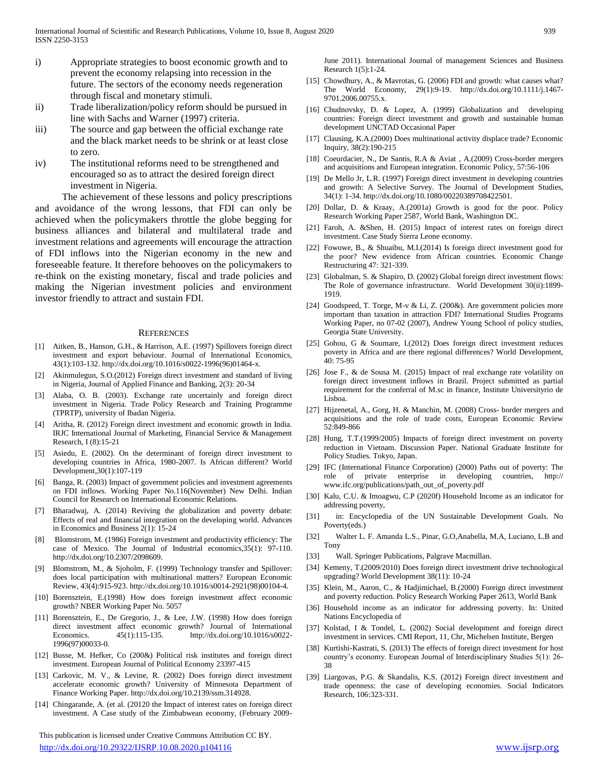- i) Appropriate strategies to boost economic growth and to prevent the economy relapsing into recession in the future. The sectors of the economy needs regeneration through fiscal and monetary stimuli.
- ii) Trade liberalization/policy reform should be pursued in line with Sachs and Warner (1997) criteria.
- iii) The source and gap between the official exchange rate and the black market needs to be shrink or at least close to zero.
- iv) The institutional reforms need to be strengthened and encouraged so as to attract the desired foreign direct investment in Nigeria.

 The achievement of these lessons and policy prescriptions and avoidance of the wrong lessons, that FDI can only be achieved when the policymakers throttle the globe begging for business alliances and bilateral and multilateral trade and investment relations and agreements will encourage the attraction of FDI inflows into the Nigerian economy in the new and foreseeable feature. It therefore behooves on the policymakers to re-think on the existing monetary, fiscal and trade policies and making the Nigerian investment policies and environment investor friendly to attract and sustain FDI.

#### **REFERENCES**

- [1] Aitken, B., Hanson, G.H., & Harrison, A.E. (1997) Spillovers foreign direct investment and export behaviour. Journal of International Economics, 43(1):103-132. http://dx.doi.org/10.1016/s0022-1996(96)01464-x.
- [2] Akinmulegun, S.O.(2012) Foreign direct investment and standard of living in Nigeria, Journal of Applied Finance and Banking, 2(3): 20-34
- [3] Alaba, O. B. (2003). Exchange rate uncertainly and foreign direct investment in Nigeria. Trade Policy Research and Training Programme (TPRTP), university of Ibadan Nigeria.
- [4] Aritha, R. (2012) Foreign direct investment and economic growth in India. IRJC International Journal of Marketing, Financial Service & Management Research, I (8):15-21
- [5] Asiedu, E. (2002). On the determinant of foreign direct investment to developing countries in Africa, 1980-2007. Is African different? World Development,30(1):107-119
- [6] Banga, R. (2003) Impact of government policies and investment agreements on FDI inflows. Working Paper No.116(November) New Delhi. Indian Council for Research on International Economic Relations.
- [7] Bharadwaj, A. (2014) Reviving the globalization and poverty debate: Effects of real and financial integration on the developing world. Advances in Economics and Business 2(1): 15-24
- [8] Blomstrom, M. (1986) Foreign investment and productivity efficiency: The case of Mexico. The Journal of Industrial economics,35(1): 97-110. http://dx.doi.org/10.2307/2098609.
- [9] Blomstrom, M., & Sjoholm, F. (1999) Technology transfer and Spillover: does local participation with multinational matters? European Economic Review, 43(4):915-923. http://dx.doi.org/10.1016/s0014-2921(98)00104-4.
- [10] Borensztein, E.(1998) How does foreign investment affect economic growth? NBER Working Paper No. 5057
- [11] Borensztein, E., De Gregorio, J., & Lee, J.W. (1998) How does foreign direct investment affect economic growth? Journal of International Economics. 45(1):115-135. http://dx.doi.org/10.1016/s0022- 1996(97)00033-0.
- [12] Busse, M. Hefker, Co (200&) Political risk institutes and foreign direct investment. European Journal of Political Economy 23397-415
- [13] Carkovic, M. V., & Levine, R. (2002) Does foreign direct investment accelerate economic growth? University of Minnesota Department of Finance Working Paper. http://dx.doi.org/10.2139/ssm.314928.
- [14] Chingarande, A. (et al. (20120 the Impact of interest rates on foreign direct investment. A Case study of the Zimbabwean economy, (February 2009-

 This publication is licensed under Creative Commons Attribution CC BY. <http://dx.doi.org/10.29322/IJSRP.10.08.2020.p104116> [www.ijsrp.org](http://ijsrp.org/)

June 2011). International Journal of management Sciences and Business Research 1(5):1-24.

- [15] Chowdhury, A., & Mavrotas, G. (2006) FDI and growth: what causes what? The World Economy, 29(1):9-19. http://dx.doi.org/10.1111/j.1467- 9701.2006.00755.x.
- [16] Chudnovsky, D. & Lopez, A. (1999) Globalization and developing countries: Foreign direct investment and growth and sustainable human development UNCTAD Occasional Paper
- [17] Clausing, K.A.(2000) Does multinational activity displace trade? Economic Inquiry, 38(2):190-215
- [18] Coeurdacier, N., De Santis, R.A & Aviat , A.(2009) Cross-border mergers and acquisitions and European integration. Economic Policy, 57:56-106
- [19] De Mello Jr, L.R. (1997) Foreign direct investment in developing countries and growth: A Selective Survey. The Journal of Development Studies, 34(1): 1-34. http://dx.doi.org/10.1080/00220389708422501.
- [20] Dollar, D. & Kraay, A.(2001a) Growth is good for the poor. Policy Research Working Paper 2587, World Bank, Washington DC.
- [21] Faroh, A. &Shen, H. (2015) Impact of interest rates on foreign direct investment. Case Study Sierra Leone economy.
- [22] Fowowe, B., & Shuaibu, M.I.(2014) Is foreign direct investment good for the poor? New evidence from African countries. Economic Change Restructuring 47: 321-339.
- [23] Globalman, S. & Shapiro, D. (2002) Global foreign direct investment flows: The Role of governance infrastructure. World Development 30(ii):1899- 1919.
- [24] Goodspeed, T. Torge, M-v & Li, Z. (200&). Are government policies more important than taxation in attraction FDI? International Studies Programs Working Paper, no 07-02 (2007), Andrew Young School of policy studies, Georgia State University.
- [25] Gohou, G & Soumare, I.(2012) Does foreign direct investment reduces poverty in Africa and are there regional differences? World Development, 40: 75-95
- [26] Jose F., & de Sousa M. (2015) Impact of real exchange rate volatility on foreign direct investment inflows in Brazil. Project submitted as partial requirement for the conferral of M.sc in finance, Institute Universityrio de Lisboa.
- [27] Hijzenetal, A., Gorg, H. & Manchin, M. (2008) Cross- border mergers and acquisitions and the role of trade costs, European Economic Review 52:849-866
- [28] Hung, T.T.(1999/2005) Impacts of foreign direct investment on poverty reduction in Vietnam. Discussion Paper. National Graduate Institute for Policy Studies. Tokyo, Japan.
- [29] IFC (International Finance Corporation) (2000) Paths out of poverty: The role of private enterprise in developing countries, http:// www.ifc.org/publications/path\_out\_of\_poverty.pdf
- [30] Kalu, C.U. & Imoagwu, C.P (2020f) Household Income as an indicator for addressing poverty,
- [31] in: Encyclopedia of the UN Sustainable Development Goals. No Poverty(eds.)
- [32] Walter L. F. Amanda L.S., Pinar, G.O,Anabella, M.A, Luciano, L.B and Tony
- [33] Wall. Springer Publications, Palgrave Macmillan.
- [34] Kemeny, T.(2009/2010) Does foreign direct investment drive technological upgrading? World Development 38(11): 10-24
- [35] Klein, M., Aaron, C., & Hadjimichael, B.(2000) Foreign direct investment and poverty reduction. Policy Research Working Paper 2613, World Bank
- [36] Household income as an indicator for addressing poverty. In: United Nations Encyclopedia of
- [37] Kolstad, I & Tondel, L. (2002) Social development and foreign direct investment in services. CMI Report, 11, Chr, Michelsen Institute, Bergen
- [38] Kurtishi-Kastrati, S. (2013) The effects of foreign direct investment for host country's economy. European Journal of Interdisciplinary Studies 5(1): 26- 38
- [39] Liargovas, P.G. & Skandalis, K.S. (2012) Foreign direct investment and trade openness: the case of developing economies. Social Indicators Research, 106:323-331.